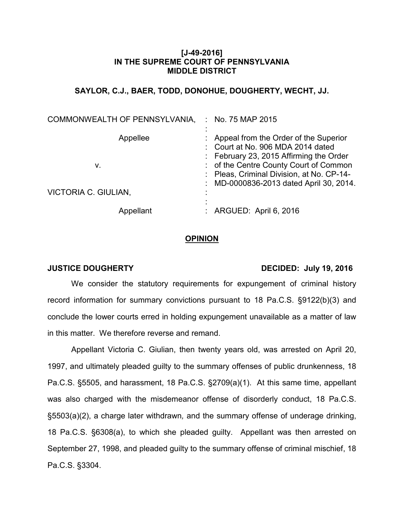# **[J-49-2016] IN THE SUPREME COURT OF PENNSYLVANIA MIDDLE DISTRICT**

# **SAYLOR, C.J., BAER, TODD, DONOHUE, DOUGHERTY, WECHT, JJ.**

| COMMONWEALTH OF PENNSYLVANIA, | : No. 75 MAP 2015                                                                                                                                               |
|-------------------------------|-----------------------------------------------------------------------------------------------------------------------------------------------------------------|
| Appellee<br>v.                | Appeal from the Order of the Superior<br>: Court at No. 906 MDA 2014 dated<br>: February 23, 2015 Affirming the Order<br>: of the Centre County Court of Common |
|                               | : Pleas, Criminal Division, at No. CP-14-<br>MD-0000836-2013 dated April 30, 2014.                                                                              |
| VICTORIA C. GIULIAN,          |                                                                                                                                                                 |
| Appellant                     | ARGUED: April 6, 2016                                                                                                                                           |

### **OPINION**

### **JUSTICE DOUGHERTY** DECIDED: July 19, 2016

We consider the statutory requirements for expungement of criminal history record information for summary convictions pursuant to 18 Pa.C.S. §9122(b)(3) and conclude the lower courts erred in holding expungement unavailable as a matter of law in this matter. We therefore reverse and remand.

Appellant Victoria C. Giulian, then twenty years old, was arrested on April 20, 1997, and ultimately pleaded guilty to the summary offenses of public drunkenness, 18 Pa.C.S. §5505, and harassment, 18 Pa.C.S. §2709(a)(1). At this same time, appellant was also charged with the misdemeanor offense of disorderly conduct, 18 Pa.C.S. §5503(a)(2), a charge later withdrawn*,* and the summary offense of underage drinking, 18 Pa.C.S. §6308(a), to which she pleaded guilty. Appellant was then arrested on September 27, 1998, and pleaded guilty to the summary offense of criminal mischief, 18 Pa.C.S. §3304.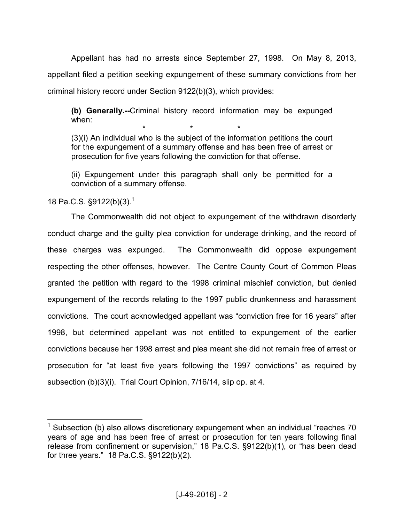Appellant has had no arrests since September 27, 1998. On May 8, 2013, appellant filed a petition seeking expungement of these summary convictions from her criminal history record under Section 9122(b)(3), which provides:

**(b) Generally.--**Criminal history record information may be expunged when:

 $\begin{array}{cccccccccc} \star & \star & \star & \star & \star \end{array}$ (3)(i) An individual who is the subject of the information petitions the court for the expungement of a summary offense and has been free of arrest or prosecution for five years following the conviction for that offense.

(ii) Expungement under this paragraph shall only be permitted for a conviction of a summary offense.

18 Pa.C.S.  $\S$ 9122(b)(3).<sup>1</sup>

The Commonwealth did not object to expungement of the withdrawn disorderly conduct charge and the guilty plea conviction for underage drinking, and the record of these charges was expunged. The Commonwealth did oppose expungement respecting the other offenses, however. The Centre County Court of Common Pleas granted the petition with regard to the 1998 criminal mischief conviction, but denied expungement of the records relating to the 1997 public drunkenness and harassment convictions. The court acknowledged appellant was "conviction free for 16 years" after 1998, but determined appellant was not entitled to expungement of the earlier convictions because her 1998 arrest and plea meant she did not remain free of arrest or prosecution for "at least five years following the 1997 convictions" as required by subsection (b)(3)(i). Trial Court Opinion, 7/16/14, slip op. at 4.

 1 Subsection (b) also allows discretionary expungement when an individual "reaches 70 years of age and has been free of arrest or prosecution for ten years following final release from confinement or supervision," 18 Pa.C.S. §9122(b)(1), or "has been dead for three years." 18 Pa.C.S. §9122(b)(2).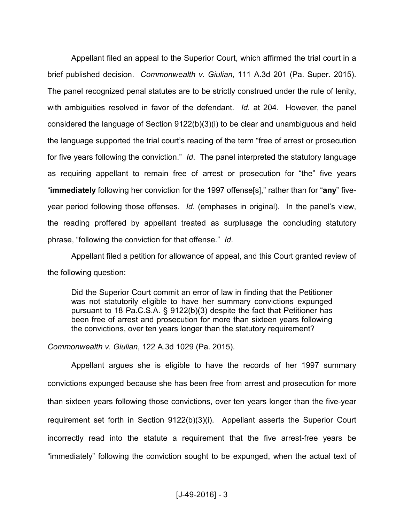Appellant filed an appeal to the Superior Court, which affirmed the trial court in a brief published decision. *Commonwealth v. Giulian*, 111 A.3d 201 (Pa. Super. 2015). The panel recognized penal statutes are to be strictly construed under the rule of lenity, with ambiguities resolved in favor of the defendant. *Id.* at 204. However, the panel considered the language of Section 9122(b)(3)(i) to be clear and unambiguous and held the language supported the trial court's reading of the term "free of arrest or prosecution for five years following the conviction." *Id*. The panel interpreted the statutory language as requiring appellant to remain free of arrest or prosecution for "the" five years "**immediately** following her conviction for the 1997 offense[s]," rather than for "**any**" fiveyear period following those offenses. *Id.* (emphases in original). In the panel's view, the reading proffered by appellant treated as surplusage the concluding statutory phrase, "following the conviction for that offense." *Id*.

Appellant filed a petition for allowance of appeal, and this Court granted review of the following question:

Did the Superior Court commit an error of law in finding that the Petitioner was not statutorily eligible to have her summary convictions expunged pursuant to 18 Pa.C.S.A. § 9122(b)(3) despite the fact that Petitioner has been free of arrest and prosecution for more than sixteen years following the convictions, over ten years longer than the statutory requirement?

*Commonwealth v. Giulian*, 122 A.3d 1029 (Pa. 2015).

 Appellant argues she is eligible to have the records of her 1997 summary convictions expunged because she has been free from arrest and prosecution for more than sixteen years following those convictions, over ten years longer than the five-year requirement set forth in Section 9122(b)(3)(i). Appellant asserts the Superior Court incorrectly read into the statute a requirement that the five arrest-free years be "immediately" following the conviction sought to be expunged, when the actual text of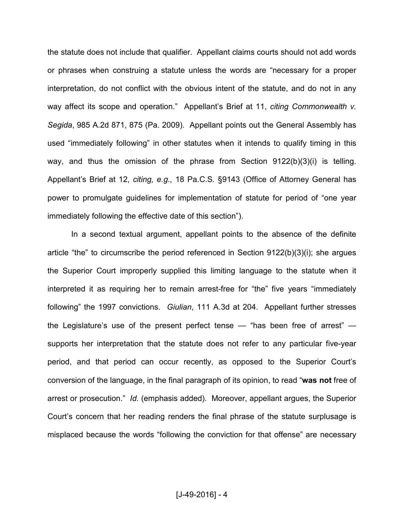the statute does not include that qualifier. Appellant claims courts should not add words or phrases when construing a statute unless the words are "necessary for a proper interpretation, do not conflict with the obvious intent of the statute, and do not in any way affect its scope and operation." Appellant's Brief at 11, *citing Commonwealth v. Segida*, 985 A.2d 871, 875 (Pa. 2009). Appellant points out the General Assembly has used "immediately following" in other statutes when it intends to qualify timing in this way, and thus the omission of the phrase from Section 9122(b)(3)(i) is telling. Appellant's Brief at 12, *citing, e.g.,* 18 Pa.C.S. §9143 (Office of Attorney General has power to promulgate guidelines for implementation of statute for period of "one year immediately following the effective date of this section").

 In a second textual argument, appellant points to the absence of the definite article "the" to circumscribe the period referenced in Section 9122(b)(3)(i); she argues the Superior Court improperly supplied this limiting language to the statute when it interpreted it as requiring her to remain arrest-free for "the" five years "immediately following" the 1997 convictions. *Giulian*, 111 A.3d at 204. Appellant further stresses the Legislature's use of the present perfect tense — "has been free of arrest" supports her interpretation that the statute does not refer to any particular five-year period, and that period can occur recently, as opposed to the Superior Court's conversion of the language, in the final paragraph of its opinion, to read "**was not** free of arrest or prosecution." *Id.* (emphasis added). Moreover, appellant argues, the Superior Court's concern that her reading renders the final phrase of the statute surplusage is misplaced because the words "following the conviction for that offense" are necessary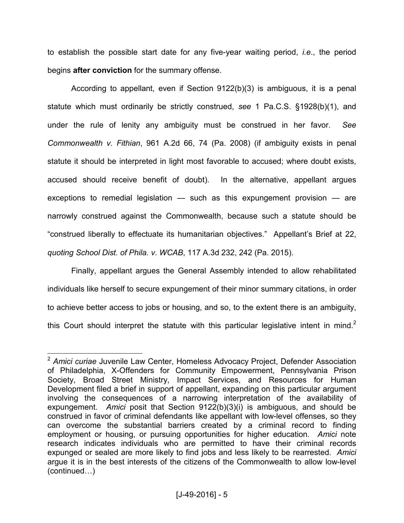to establish the possible start date for any five-year waiting period, *i.e*., the period begins **after conviction** for the summary offense.

 According to appellant, even if Section 9122(b)(3) is ambiguous, it is a penal statute which must ordinarily be strictly construed, *see* 1 Pa.C.S. §1928(b)(1), and under the rule of lenity any ambiguity must be construed in her favor. *See Commonwealth v. Fithian*, 961 A.2d 66, 74 (Pa. 2008) (if ambiguity exists in penal statute it should be interpreted in light most favorable to accused; where doubt exists, accused should receive benefit of doubt). In the alternative, appellant argues exceptions to remedial legislation — such as this expungement provision — are narrowly construed against the Commonwealth, because such a statute should be "construed liberally to effectuate its humanitarian objectives." Appellant's Brief at 22, *quoting School Dist. of Phila. v. WCAB*, 117 A.3d 232, 242 (Pa. 2015).

 Finally, appellant argues the General Assembly intended to allow rehabilitated individuals like herself to secure expungement of their minor summary citations, in order to achieve better access to jobs or housing, and so, to the extent there is an ambiguity, this Court should interpret the statute with this particular legislative intent in mind.<sup>2</sup>

 $\overline{\phantom{a}}$ <sup>2</sup> *Amici curiae* Juvenile Law Center, Homeless Advocacy Project, Defender Association of Philadelphia, X-Offenders for Community Empowerment, Pennsylvania Prison Society, Broad Street Ministry, Impact Services, and Resources for Human Development filed a brief in support of appellant, expanding on this particular argument involving the consequences of a narrowing interpretation of the availability of expungement. *Amici* posit that Section 9122(b)(3)(i) is ambiguous, and should be construed in favor of criminal defendants like appellant with low-level offenses, so they can overcome the substantial barriers created by a criminal record to finding employment or housing, or pursuing opportunities for higher education. *Amici* note research indicates individuals who are permitted to have their criminal records expunged or sealed are more likely to find jobs and less likely to be rearrested. *Amici* argue it is in the best interests of the citizens of the Commonwealth to allow low-level  $(continued...)$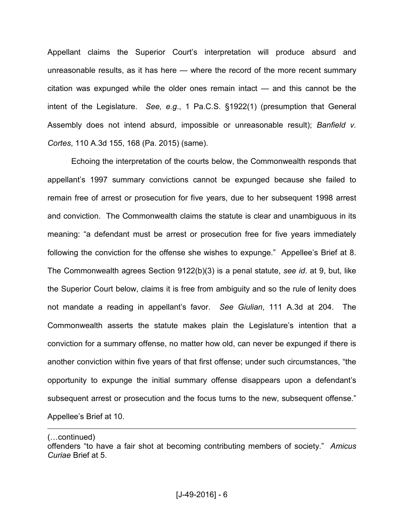Appellant claims the Superior Court's interpretation will produce absurd and unreasonable results, as it has here — where the record of the more recent summary citation was expunged while the older ones remain intact — and this cannot be the intent of the Legislature. *See, e.g*., 1 Pa.C.S. §1922(1) (presumption that General Assembly does not intend absurd, impossible or unreasonable result); *Banfield v. Cortes*, 110 A.3d 155, 168 (Pa. 2015) (same).

 Echoing the interpretation of the courts below, the Commonwealth responds that appellant's 1997 summary convictions cannot be expunged because she failed to remain free of arrest or prosecution for five years, due to her subsequent 1998 arrest and conviction. The Commonwealth claims the statute is clear and unambiguous in its meaning: "a defendant must be arrest or prosecution free for five years immediately following the conviction for the offense she wishes to expunge." Appellee's Brief at 8. The Commonwealth agrees Section 9122(b)(3) is a penal statute, *see id*. at 9, but, like the Superior Court below, claims it is free from ambiguity and so the rule of lenity does not mandate a reading in appellant's favor. *See Giulian*, 111 A.3d at 204. The Commonwealth asserts the statute makes plain the Legislature's intention that a conviction for a summary offense, no matter how old, can never be expunged if there is another conviction within five years of that first offense; under such circumstances, "the opportunity to expunge the initial summary offense disappears upon a defendant's subsequent arrest or prosecution and the focus turns to the new, subsequent offense." Appellee's Brief at 10.

 $\overline{a}$  $(n \cdot n \cdot \text{continued})$ 

offenders "to have a fair shot at becoming contributing members of society." *Amicus Curiae* Brief at 5.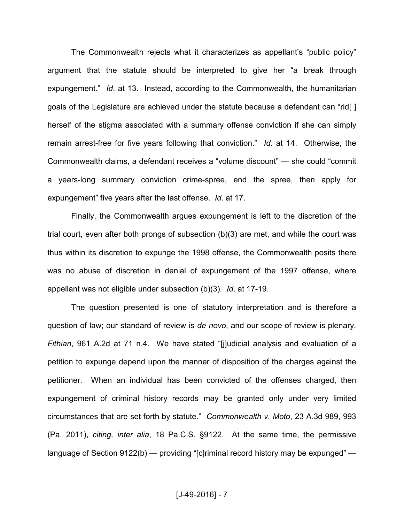The Commonwealth rejects what it characterizes as appellant's "public policy" argument that the statute should be interpreted to give her "a break through expungement." *Id*. at 13. Instead, according to the Commonwealth, the humanitarian goals of the Legislature are achieved under the statute because a defendant can "rid[ ] herself of the stigma associated with a summary offense conviction if she can simply remain arrest-free for five years following that conviction." *Id*. at 14. Otherwise, the Commonwealth claims, a defendant receives a "volume discount" — she could "commit a years-long summary conviction crime-spree, end the spree, then apply for expungement" five years after the last offense. *Id*. at 17.

 Finally, the Commonwealth argues expungement is left to the discretion of the trial court, even after both prongs of subsection (b)(3) are met, and while the court was thus within its discretion to expunge the 1998 offense, the Commonwealth posits there was no abuse of discretion in denial of expungement of the 1997 offense, where appellant was not eligible under subsection (b)(3). *Id*. at 17-19.

 The question presented is one of statutory interpretation and is therefore a question of law; our standard of review is *de novo*, and our scope of review is plenary. *Fithian*, 961 A.2d at 71 n.4. We have stated "[j]udicial analysis and evaluation of a petition to expunge depend upon the manner of disposition of the charges against the petitioner. When an individual has been convicted of the offenses charged, then expungement of criminal history records may be granted only under very limited circumstances that are set forth by statute." *Commonwealth v. Moto*, 23 A.3d 989, 993 (Pa. 2011), *citing, inter alia*, 18 Pa.C.S. §9122. At the same time, the permissive language of Section 9122(b) — providing "[c]riminal record history may be expunged" —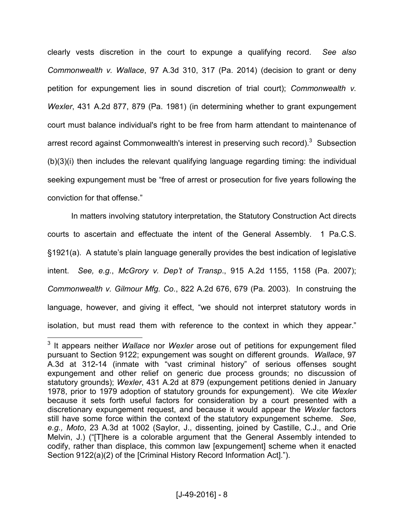clearly vests discretion in the court to expunge a qualifying record. *See also Commonwealth v. Wallace*, 97 A.3d 310, 317 (Pa. 2014) (decision to grant or deny petition for expungement lies in sound discretion of trial court); *Commonwealth v. Wexler*, 431 A.2d 877, 879 (Pa. 1981) (in determining whether to grant expungement court must balance individual's right to be free from harm attendant to maintenance of arrest record against Commonwealth's interest in preserving such record).<sup>3</sup> Subsection (b)(3)(i) then includes the relevant qualifying language regarding timing: the individual seeking expungement must be "free of arrest or prosecution for five years following the conviction for that offense."

 In matters involving statutory interpretation, the Statutory Construction Act directs courts to ascertain and effectuate the intent of the General Assembly. 1 Pa.C.S. §1921(a). A statute's plain language generally provides the best indication of legislative intent. *See, e.g.*, *McGrory v. Dep't of Transp*., 915 A.2d 1155, 1158 (Pa. 2007); *Commonwealth v. Gilmour Mfg. Co*., 822 A.2d 676, 679 (Pa. 2003). In construing the language, however, and giving it effect, "we should not interpret statutory words in isolation, but must read them with reference to the context in which they appear."

 3 It appears neither *Wallace* nor *Wexler* arose out of petitions for expungement filed pursuant to Section 9122; expungement was sought on different grounds. *Wallace*, 97 A.3d at 312-14 (inmate with "vast criminal history" of serious offenses sought expungement and other relief on generic due process grounds; no discussion of statutory grounds); *Wexler*, 431 A.2d at 879 (expungement petitions denied in January 1978, prior to 1979 adoption of statutory grounds for expungement). We cite *Wexler* because it sets forth useful factors for consideration by a court presented with a discretionary expungement request, and because it would appear the *Wexler* factors still have some force within the context of the statutory expungement scheme. *See, e.g., Moto*, 23 A.3d at 1002 (Saylor, J., dissenting, joined by Castille, C.J., and Orie Melvin, J.) ("[T]here is a colorable argument that the General Assembly intended to codify, rather than displace, this common law [expungement] scheme when it enacted Section 9122(a)(2) of the [Criminal History Record Information Act].").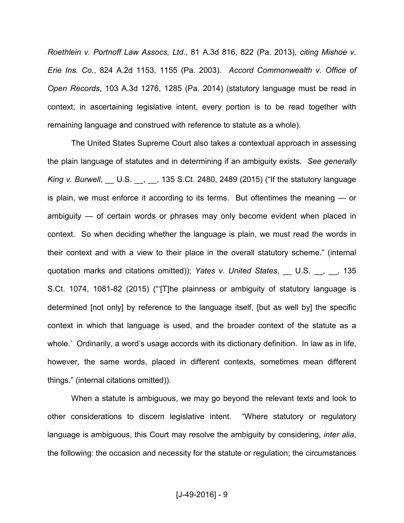*Roethlein v. Portnoff Law Assocs, Ltd*., 81 A.3d 816, 822 (Pa. 2013), *citing Mishoe v. Erie Ins. Co.*, 824 A.2d 1153, 1155 (Pa. 2003). *Accord Commonwealth v. Office of Open Records*, 103 A.3d 1276, 1285 (Pa. 2014) (statutory language must be read in context; in ascertaining legislative intent, every portion is to be read together with remaining language and construed with reference to statute as a whole).

 The United States Supreme Court also takes a contextual approach in assessing the plain language of statutes and in determining if an ambiguity exists. *See generally King v. Burwell*, \_\_ U.S. \_\_, \_\_, 135 S.Ct. 2480, 2489 (2015) ("If the statutory language is plain, we must enforce it according to its terms. But oftentimes the meaning — or ambiguity — of certain words or phrases may only become evident when placed in context. So when deciding whether the language is plain, we must read the words in their context and with a view to their place in the overall statutory scheme." (internal quotation marks and citations omitted)); *Yates v. United States*, 1U.S. <sub>1, 1</sub>, 135 S.Ct. 1074, 1081-82 (2015) ("'[T]he plainness or ambiguity of statutory language is determined [not only] by reference to the language itself, [but as well by] the specific context in which that language is used, and the broader context of the statute as a whole.' Ordinarily, a word's usage accords with its dictionary definition. In law as in life, however, the same words, placed in different contexts, sometimes mean different things." (internal citations omitted)).

 When a statute is ambiguous, we may go beyond the relevant texts and look to other considerations to discern legislative intent. "Where statutory or regulatory language is ambiguous, this Court may resolve the ambiguity by considering, *inter alia*, the following: the occasion and necessity for the statute or regulation; the circumstances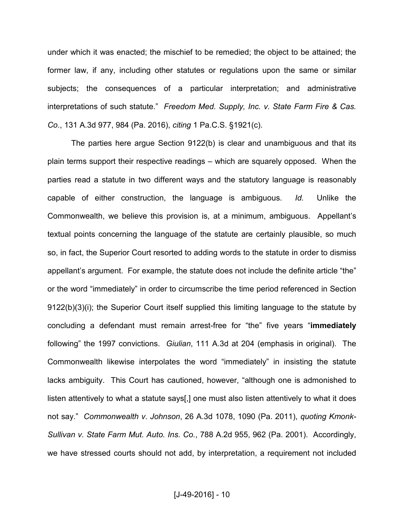under which it was enacted; the mischief to be remedied; the object to be attained; the former law, if any, including other statutes or regulations upon the same or similar subjects; the consequences of a particular interpretation; and administrative interpretations of such statute." *Freedom Med. Supply, Inc. v. State Farm Fire & Cas. Co*., 131 A.3d 977, 984 (Pa. 2016), *citing* 1 Pa.C.S. §1921(c).

 The parties here argue Section 9122(b) is clear and unambiguous and that its plain terms support their respective readings – which are squarely opposed. When the parties read a statute in two different ways and the statutory language is reasonably capable of either construction, the language is ambiguous. *Id.* Unlike the Commonwealth, we believe this provision is, at a minimum, ambiguous. Appellant's textual points concerning the language of the statute are certainly plausible, so much so, in fact, the Superior Court resorted to adding words to the statute in order to dismiss appellant's argument. For example, the statute does not include the definite article "the" or the word "immediately" in order to circumscribe the time period referenced in Section 9122(b)(3)(i); the Superior Court itself supplied this limiting language to the statute by concluding a defendant must remain arrest-free for "the" five years "**immediately** following" the 1997 convictions. *Giulian*, 111 A.3d at 204 (emphasis in original). The Commonwealth likewise interpolates the word "immediately" in insisting the statute lacks ambiguity. This Court has cautioned, however, "although one is admonished to listen attentively to what a statute says[,] one must also listen attentively to what it does not say." *Commonwealth v. Johnson*, 26 A.3d 1078, 1090 (Pa. 2011), *quoting Kmonk-Sullivan v. State Farm Mut. Auto. Ins. Co.*, 788 A.2d 955, 962 (Pa. 2001). Accordingly, we have stressed courts should not add, by interpretation, a requirement not included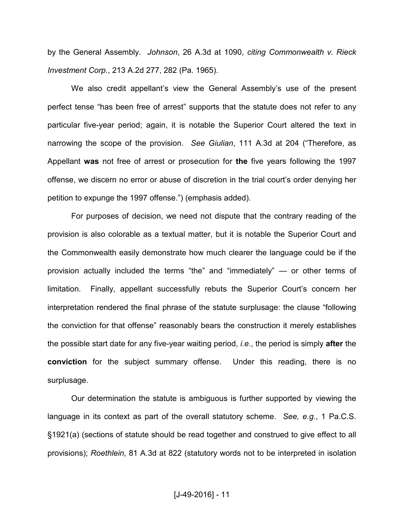by the General Assembly. *Johnson*, 26 A.3d at 1090, *citing Commonwealth v. Rieck Investment Corp.*, 213 A.2d 277, 282 (Pa. 1965).

 We also credit appellant's view the General Assembly's use of the present perfect tense "has been free of arrest" supports that the statute does not refer to any particular five-year period; again, it is notable the Superior Court altered the text in narrowing the scope of the provision. *See Giulian*, 111 A.3d at 204 ("Therefore, as Appellant **was** not free of arrest or prosecution for **the** five years following the 1997 offense, we discern no error or abuse of discretion in the trial court's order denying her petition to expunge the 1997 offense.") (emphasis added).

 For purposes of decision, we need not dispute that the contrary reading of the provision is also colorable as a textual matter, but it is notable the Superior Court and the Commonwealth easily demonstrate how much clearer the language could be if the provision actually included the terms "the" and "immediately" — or other terms of limitation. Finally, appellant successfully rebuts the Superior Court's concern her interpretation rendered the final phrase of the statute surplusage: the clause "following the conviction for that offense" reasonably bears the construction it merely establishes the possible start date for any five-year waiting period, *i.e*., the period is simply **after** the **conviction** for the subject summary offense. Under this reading, there is no surplusage.

Our determination the statute is ambiguous is further supported by viewing the language in its context as part of the overall statutory scheme. *See, e.g*., 1 Pa.C.S. §1921(a) (sections of statute should be read together and construed to give effect to all provisions); *Roethlein,* 81 A.3d at 822 (statutory words not to be interpreted in isolation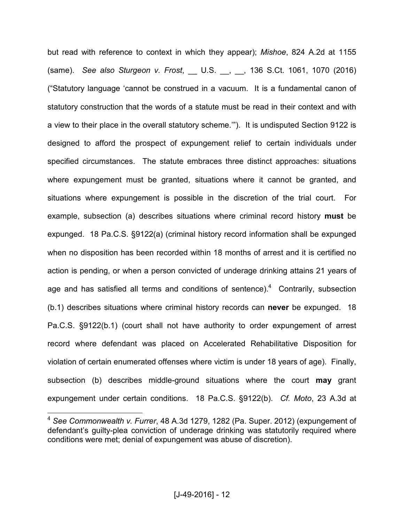but read with reference to context in which they appear); *Mishoe*, 824 A.2d at 1155 (same). *See also Sturgeon v. Frost*, \_\_ U.S. \_\_, \_\_, 136 S.Ct. 1061, 1070 (2016) ("Statutory language 'cannot be construed in a vacuum. It is a fundamental canon of statutory construction that the words of a statute must be read in their context and with a view to their place in the overall statutory scheme.'"). It is undisputed Section 9122 is designed to afford the prospect of expungement relief to certain individuals under specified circumstances. The statute embraces three distinct approaches: situations where expungement must be granted, situations where it cannot be granted, and situations where expungement is possible in the discretion of the trial court. For example, subsection (a) describes situations where criminal record history **must** be expunged. 18 Pa.C.S. §9122(a) (criminal history record information shall be expunged when no disposition has been recorded within 18 months of arrest and it is certified no action is pending, or when a person convicted of underage drinking attains 21 years of age and has satisfied all terms and conditions of sentence). $4$  Contrarily, subsection (b.1) describes situations where criminal history records can **never** be expunged. 18 Pa.C.S. §9122(b.1) (court shall not have authority to order expungement of arrest record where defendant was placed on Accelerated Rehabilitative Disposition for violation of certain enumerated offenses where victim is under 18 years of age). Finally, subsection (b) describes middle-ground situations where the court **may** grant expungement under certain conditions. 18 Pa.C.S. §9122(b). *Cf. Moto*, 23 A.3d at

 $\overline{\phantom{a}}$ 

<sup>4</sup>  *See Commonwealth v. Furrer*, 48 A.3d 1279, 1282 (Pa. Super. 2012) (expungement of defendant's guilty-plea conviction of underage drinking was statutorily required where conditions were met; denial of expungement was abuse of discretion).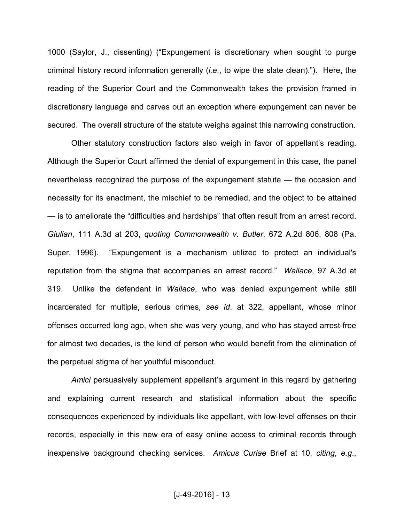1000 (Saylor, J., dissenting) ("Expungement is discretionary when sought to purge criminal history record information generally (*i.e*., to wipe the slate clean)."). Here, the reading of the Superior Court and the Commonwealth takes the provision framed in discretionary language and carves out an exception where expungement can never be secured. The overall structure of the statute weighs against this narrowing construction.

 Other statutory construction factors also weigh in favor of appellant's reading. Although the Superior Court affirmed the denial of expungement in this case, the panel nevertheless recognized the purpose of the expungement statute — the occasion and necessity for its enactment, the mischief to be remedied, and the object to be attained — is to ameliorate the "difficulties and hardships" that often result from an arrest record. *Giulian*, 111 A.3d at 203, *quoting Commonwealth v. Butler*, 672 A.2d 806, 808 (Pa. Super. 1996). "Expungement is a mechanism utilized to protect an individual's reputation from the stigma that accompanies an arrest record." *Wallace*, 97 A.3d at 319. Unlike the defendant in *Wallace*, who was denied expungement while still incarcerated for multiple, serious crimes, *see id*. at 322, appellant, whose minor offenses occurred long ago, when she was very young, and who has stayed arrest-free for almost two decades, is the kind of person who would benefit from the elimination of the perpetual stigma of her youthful misconduct.

*Amici* persuasively supplement appellant's argument in this regard by gathering and explaining current research and statistical information about the specific consequences experienced by individuals like appellant, with low-level offenses on their records, especially in this new era of easy online access to criminal records through inexpensive background checking services. *Amicus Curiae* Brief at 10, *citing*, *e.g*.,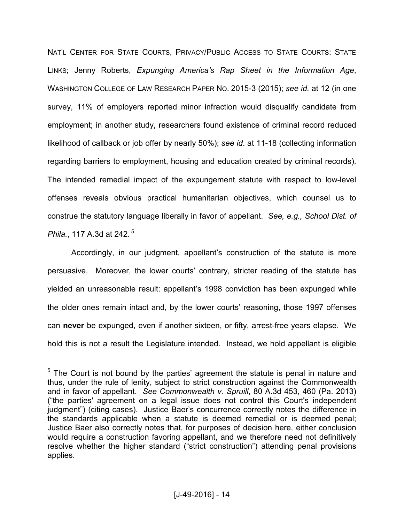NAT'L CENTER FOR STATE COURTS, PRIVACY/PUBLIC ACCESS TO STATE COURTS: STATE LINKS; Jenny Roberts, *Expunging America's Rap Sheet in the Information Age*, WASHINGTON COLLEGE OF LAW RESEARCH PAPER NO. 2015-3 (2015); *see id.* at 12 (in one survey, 11% of employers reported minor infraction would disqualify candidate from employment; in another study, researchers found existence of criminal record reduced likelihood of callback or job offer by nearly 50%); *see id*. at 11-18 (collecting information regarding barriers to employment, housing and education created by criminal records). The intended remedial impact of the expungement statute with respect to low-level offenses reveals obvious practical humanitarian objectives, which counsel us to construe the statutory language liberally in favor of appellant. *See, e.g., School Dist. of Phila.*, 117 A.3d at 242.<sup>5</sup>

 Accordingly, in our judgment, appellant's construction of the statute is more persuasive. Moreover, the lower courts' contrary, stricter reading of the statute has yielded an unreasonable result: appellant's 1998 conviction has been expunged while the older ones remain intact and, by the lower courts' reasoning, those 1997 offenses can **never** be expunged, even if another sixteen, or fifty, arrest-free years elapse. We hold this is not a result the Legislature intended. Instead, we hold appellant is eligible

**EXECON TEN THE COURT TE THE COURTED THE COURT 10 THE COURT 10 THE 10**<br><sup>5</sup> The Court is not bound by the parties' agreement the statute is penal in nature and thus, under the rule of lenity, subject to strict construction against the Commonwealth and in favor of appellant. *See Commonwealth v. Spruill*, 80 A.3d 453, 460 (Pa. 2013) ("the parties' agreement on a legal issue does not control this Court's independent judgment") (citing cases). Justice Baer's concurrence correctly notes the difference in the standards applicable when a statute is deemed remedial or is deemed penal; Justice Baer also correctly notes that, for purposes of decision here, either conclusion would require a construction favoring appellant, and we therefore need not definitively resolve whether the higher standard ("strict construction") attending penal provisions applies.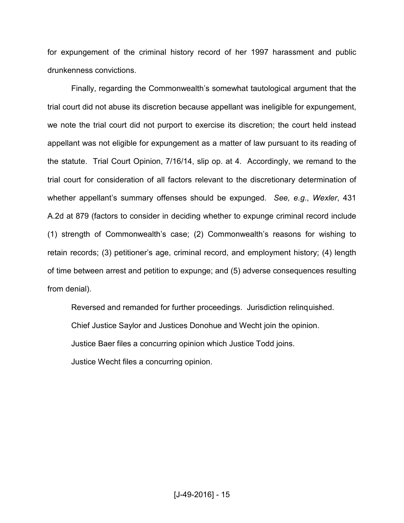for expungement of the criminal history record of her 1997 harassment and public drunkenness convictions.

 Finally, regarding the Commonwealth's somewhat tautological argument that the trial court did not abuse its discretion because appellant was ineligible for expungement, we note the trial court did not purport to exercise its discretion; the court held instead appellant was not eligible for expungement as a matter of law pursuant to its reading of the statute. Trial Court Opinion, 7/16/14, slip op. at 4. Accordingly, we remand to the trial court for consideration of all factors relevant to the discretionary determination of whether appellant's summary offenses should be expunged. *See, e.g*., *Wexler*, 431 A.2d at 879 (factors to consider in deciding whether to expunge criminal record include (1) strength of Commonwealth's case; (2) Commonwealth's reasons for wishing to retain records; (3) petitioner's age, criminal record, and employment history; (4) length of time between arrest and petition to expunge; and (5) adverse consequences resulting from denial).

Reversed and remanded for further proceedings. Jurisdiction relinq uished.

Chief Justice Saylor and Justices Donohue and Wecht join the opinion.

Justice Baer files a concurring opinion which Justice Todd joins.

Justice Wecht files a concurring opinion.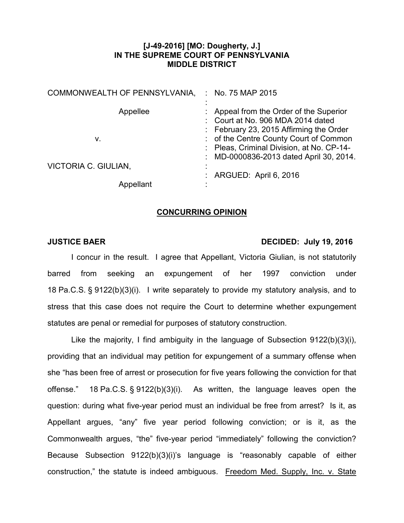# **[J-49-2016] [MO: Dougherty, J.] IN THE SUPREME COURT OF PENNSYLVANIA MIDDLE DISTRICT**

| COMMONWEALTH OF PENNSYLVANIA. | : No. 75 MAP 2015                                                                                                              |
|-------------------------------|--------------------------------------------------------------------------------------------------------------------------------|
| Appellee                      | Appeal from the Order of the Superior<br>Court at No. 906 MDA 2014 dated<br>: February 23, 2015 Affirming the Order            |
| v.                            | : of the Centre County Court of Common<br>: Pleas, Criminal Division, at No. CP-14-<br>: MD-0000836-2013 dated April 30, 2014. |
| VICTORIA C. GIULIAN,          | ARGUED: April 6, 2016                                                                                                          |
|                               |                                                                                                                                |

## **CONCURRING OPINION**

### **JUSTICE BAER DECIDED: July 19, 2016**

I concur in the result. I agree that Appellant, Victoria Giulian, is not statutorily barred from seeking an expungement of her 1997 conviction under 18 Pa.C.S. § 9122(b)(3)(i). I write separately to provide my statutory analysis, and to stress that this case does not require the Court to determine whether expungement statutes are penal or remedial for purposes of statutory construction.

Like the majority, I find ambiguity in the language of Subsection 9122(b)(3)(i), providing that an individual may petition for expungement of a summary offense when she "has been free of arrest or prosecution for five years following the conviction for that offense." 18 Pa.C.S. § 9122(b)(3)(i). As written, the language leaves open the question: during what five-year period must an individual be free from arrest? Is it, as Appellant argues, "any" five year period following conviction; or is it, as the Commonwealth argues, "the" five-year period "immediately" following the conviction? Because Subsection 9122(b)(3)(i)'s language is "reasonably capable of either construction," the statute is indeed ambiguous. Freedom Med. Supply, Inc. v. State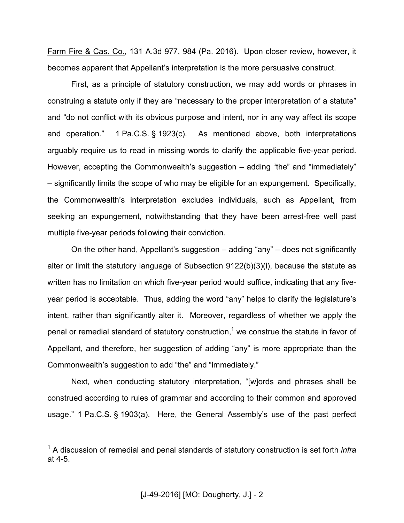Farm Fire & Cas. Co., 131 A.3d 977, 984 (Pa. 2016). Upon closer review, however, it becomes apparent that Appellant's interpretation is the more persuasive construct.

First, as a principle of statutory construction, we may add words or phrases in construing a statute only if they are "necessary to the proper interpretation of a statute" and "do not conflict with its obvious purpose and intent, nor in any way affect its scope and operation." 1 Pa.C.S. § 1923(c). As mentioned above, both interpretations arguably require us to read in missing words to clarify the applicable five-year period. However, accepting the Commonwealth's suggestion – adding "the" and "immediately" – significantly limits the scope of who may be eligible for an expungement. Specifically, the Commonwealth's interpretation excludes individuals, such as Appellant, from seeking an expungement, notwithstanding that they have been arrest-free well past multiple five-year periods following their conviction.

On the other hand, Appellant's suggestion – adding "any" – does not significantly alter or limit the statutory language of Subsection 9122(b)(3)(i), because the statute as written has no limitation on which five-year period would suffice, indicating that any fiveyear period is acceptable. Thus, adding the word "any" helps to clarify the legislature's intent, rather than significantly alter it. Moreover, regardless of whether we apply the penal or remedial standard of statutory construction,<sup>1</sup> we construe the statute in favor of Appellant, and therefore, her suggestion of adding "any" is more appropriate than the Commonwealth's suggestion to add "the" and "immediately."

Next, when conducting statutory interpretation, "[w]ords and phrases shall be construed according to rules of grammar and according to their common and approved usage." 1 Pa.C.S. § 1903(a). Here, the General Assembly's use of the past perfect

 1 A discussion of remedial and penal standards of statutory construction is set forth *infra* at 4-5.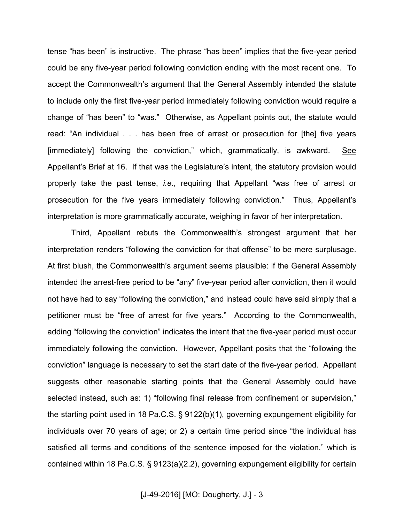tense "has been" is instructive. The phrase "has been" implies that the five-year period could be any five-year period following conviction ending with the most recent one. To accept the Commonwealth's argument that the General Assembly intended the statute to include only the first five-year period immediately following conviction would require a change of "has been" to "was." Otherwise, as Appellant points out, the statute would read: "An individual . . . has been free of arrest or prosecution for [the] five years [immediately] following the conviction," which, grammatically, is awkward. See Appellant's Brief at 16. If that was the Legislature's intent, the statutory provision would properly take the past tense, *i.e.*, requiring that Appellant "was free of arrest or prosecution for the five years immediately following conviction." Thus, Appellant's interpretation is more grammatically accurate, weighing in favor of her interpretation.

Third, Appellant rebuts the Commonwealth's strongest argument that her interpretation renders "following the conviction for that offense" to be mere surplusage. At first blush, the Commonwealth's argument seems plausible: if the General Assembly intended the arrest-free period to be "any" five-year period after conviction, then it would not have had to say "following the conviction," and instead could have said simply that a petitioner must be "free of arrest for five years." According to the Commonwealth, adding "following the conviction" indicates the intent that the five-year period must occur immediately following the conviction. However, Appellant posits that the "following the conviction" language is necessary to set the start date of the five-year period. Appellant suggests other reasonable starting points that the General Assembly could have selected instead, such as: 1) "following final release from confinement or supervision," the starting point used in 18 Pa.C.S. § 9122(b)(1), governing expungement eligibility for individuals over 70 years of age; or 2) a certain time period since "the individual has satisfied all terms and conditions of the sentence imposed for the violation," which is contained within 18 Pa.C.S. § 9123(a)(2.2), governing expungement eligibility for certain

[J-49-2016] [MO: Dougherty, J.] - 3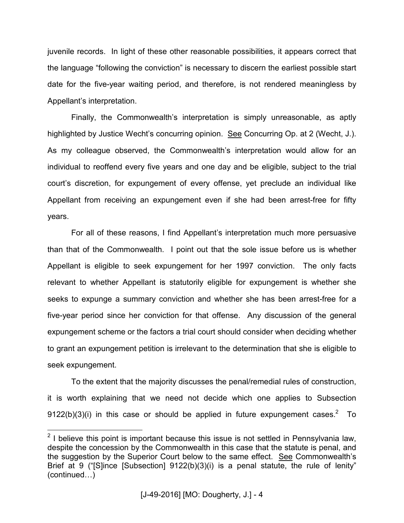juvenile records. In light of these other reasonable possibilities, it appears correct that the language "following the conviction" is necessary to discern the earliest possible start date for the five-year waiting period, and therefore, is not rendered meaningless by Appellant's interpretation.

Finally, the Commonwealth's interpretation is simply unreasonable, as aptly highlighted by Justice Wecht's concurring opinion. See Concurring Op. at 2 (Wecht, J.). As my colleague observed, the Commonwealth's interpretation would allow for an individual to reoffend every five years and one day and be eligible, subject to the trial court's discretion, for expungement of every offense, yet preclude an individual like Appellant from receiving an expungement even if she had been arrest-free for fifty years.

For all of these reasons, I find Appellant's interpretation much more persuasive than that of the Commonwealth. I point out that the sole issue before us is whether Appellant is eligible to seek expungement for her 1997 conviction. The only facts relevant to whether Appellant is statutorily eligible for expungement is whether she seeks to expunge a summary conviction and whether she has been arrest-free for a five-year period since her conviction for that offense. Any discussion of the general expungement scheme or the factors a trial court should consider when deciding whether to grant an expungement petition is irrelevant to the determination that she is eligible to seek expungement.

To the extent that the majority discusses the penal/remedial rules of construction, it is worth explaining that we need not decide which one applies to Subsection 9122(b)(3)(i) in this case or should be applied in future expungement cases.<sup>2</sup> To

**EXECUTE:**<br><sup>2</sup> I believe this point is important because this issue is not settled in Pennsylvania law, despite the concession by the Commonwealth in this case that the statute is penal, and the suggestion by the Superior Court below to the same effect. See Commonwealth's Brief at 9 ("[S]ince [Subsection] 9122(b)(3)(i) is a penal statute, the rule of lenity" (continued...)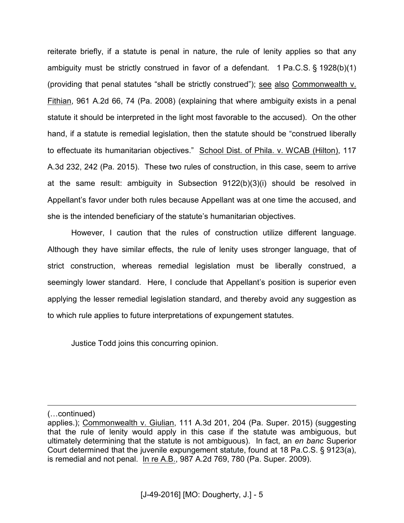reiterate briefly, if a statute is penal in nature, the rule of lenity applies so that any ambiguity must be strictly construed in favor of a defendant. 1 Pa.C.S. § 1928(b)(1) (providing that penal statutes "shall be strictly construed"); see also Commonwealth v. Fithian, 961 A.2d 66, 74 (Pa. 2008) (explaining that where ambiguity exists in a penal statute it should be interpreted in the light most favorable to the accused). On the other hand, if a statute is remedial legislation, then the statute should be "construed liberally to effectuate its humanitarian objectives." School Dist. of Phila. v. WCAB (Hilton), 117 A.3d 232, 242 (Pa. 2015). These two rules of construction, in this case, seem to arrive at the same result: ambiguity in Subsection 9122(b)(3)(i) should be resolved in Appellant's favor under both rules because Appellant was at one time the accused, and she is the intended beneficiary of the statute's humanitarian objectives.

However, I caution that the rules of construction utilize different language. Although they have similar effects, the rule of lenity uses stronger language, that of strict construction, whereas remedial legislation must be liberally construed, a seemingly lower standard. Here, I conclude that Appellant's position is superior even applying the lesser remedial legislation standard, and thereby avoid any suggestion as to which rule applies to future interpretations of expungement statutes.

Justice Todd joins this concurring opinion.

 $\overline{a}$ 

<sup>(</sup>Lcontinued)

applies.); Commonwealth v. Giulian, 111 A.3d 201, 204 (Pa. Super. 2015) (suggesting that the rule of lenity would apply in this case if the statute was ambiguous, but ultimately determining that the statute is not ambiguous). In fact, an *en banc* Superior Court determined that the juvenile expungement statute, found at 18 Pa.C.S. § 9123(a), is remedial and not penal. In re A.B., 987 A.2d 769, 780 (Pa. Super. 2009).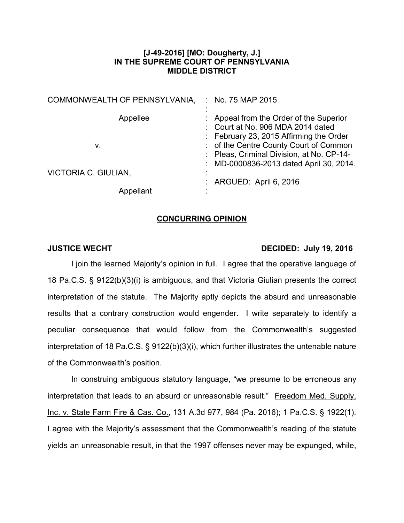# **[J-49-2016] [MO: Dougherty, J.] IN THE SUPREME COURT OF PENNSYLVANIA MIDDLE DISTRICT**

| COMMONWEALTH OF PENNSYLVANIA. | : No. 75 MAP 2015                                                                                                            |
|-------------------------------|------------------------------------------------------------------------------------------------------------------------------|
| Appellee                      | Appeal from the Order of the Superior<br>: Court at No. 906 MDA 2014 dated<br>: February 23, 2015 Affirming the Order        |
| v.                            | : of the Centre County Court of Common<br>: Pleas, Criminal Division, at No. CP-14-<br>MD-0000836-2013 dated April 30, 2014. |
| VICTORIA C. GIULIAN,          | ARGUED: April 6, 2016                                                                                                        |
| Appellant                     |                                                                                                                              |

### **CONCURRING OPINION**

## **JUSTICE WECHT DECIDED: July 19, 2016**

I join the learned Majority's opinion in full. I agree that the operative language of 18 Pa.C.S. § 9122(b)(3)(i) is ambiguous, and that Victoria Giulian presents the correct interpretation of the statute. The Majority aptly depicts the absurd and unreasonable results that a contrary construction would engender. I write separately to identify a peculiar consequence that would follow from the Commonwealth's suggested interpretation of 18 Pa.C.S. § 9122(b)(3)(i), which further illustrates the untenable nature of the Commonwealth's position.

In construing ambiguous statutory language, "we presume to be erroneous any interpretation that leads to an absurd or unreasonable result." Freedom Med. Supply, Inc. v. State Farm Fire & Cas. Co., 131 A.3d 977, 984 (Pa. 2016); 1 Pa.C.S. § 1922(1). I agree with the Majority's assessment that the Commonwealth's reading of the statute yields an unreasonable result, in that the 1997 offenses never may be expunged, while,